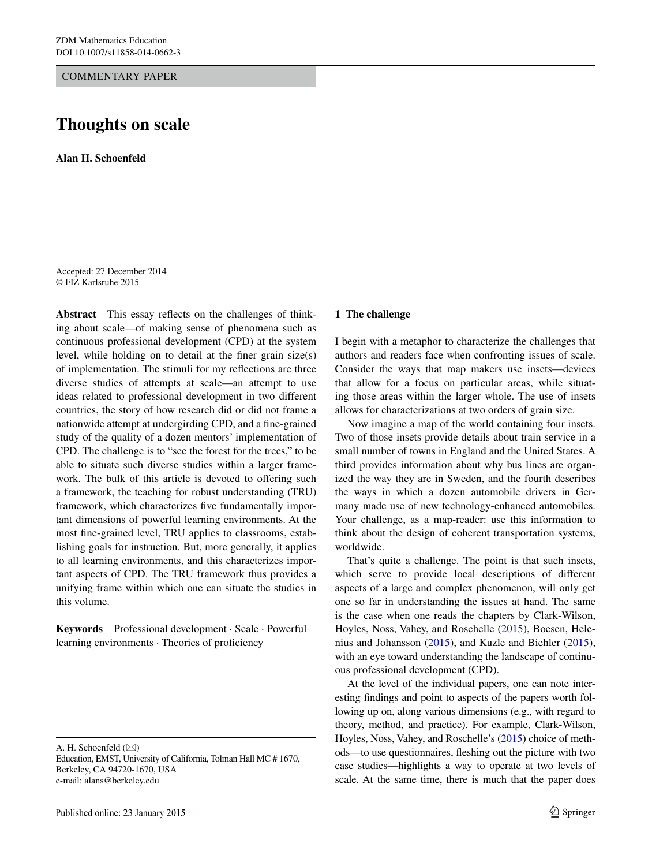COMMENTARY PAPER

# **Thoughts on scale**

**Alan H. Schoenfeld**

Accepted: 27 December 2014 © FIZ Karlsruhe 2015

**Abstract** This essay reflects on the challenges of thinking about scale—of making sense of phenomena such as continuous professional development (CPD) at the system level, while holding on to detail at the finer grain size(s) of implementation. The stimuli for my reflections are three diverse studies of attempts at scale—an attempt to use ideas related to professional development in two different countries, the story of how research did or did not frame a nationwide attempt at undergirding CPD, and a fine-grained study of the quality of a dozen mentors' implementation of CPD. The challenge is to "see the forest for the trees," to be able to situate such diverse studies within a larger framework. The bulk of this article is devoted to offering such a framework, the teaching for robust understanding (TRU) framework, which characterizes five fundamentally important dimensions of powerful learning environments. At the most fine-grained level, TRU applies to classrooms, establishing goals for instruction. But, more generally, it applies to all learning environments, and this characterizes important aspects of CPD. The TRU framework thus provides a unifying frame within which one can situate the studies in this volume.

**Keywords** Professional development · Scale · Powerful learning environments · Theories of proficiency

A. H. Schoenfeld  $(\boxtimes)$ 

Education, EMST, University of California, Tolman Hall MC # 1670, Berkeley, CA 94720-1670, USA e-mail: alans@berkeley.edu

## **1 The challenge**

I begin with a metaphor to characterize the challenges that authors and readers face when confronting issues of scale. Consider the ways that map makers use insets—devices that allow for a focus on particular areas, while situating those areas within the larger whole. The use of insets allows for characterizations at two orders of grain size.

Now imagine a map of the world containing four insets. Two of those insets provide details about train service in a small number of towns in England and the United States. A third provides information about why bus lines are organized the way they are in Sweden, and the fourth describes the ways in which a dozen automobile drivers in Germany made use of new technology-enhanced automobiles. Your challenge, as a map-reader: use this information to think about the design of coherent transportation systems, worldwide.

That's quite a challenge. The point is that such insets, which serve to provide local descriptions of different aspects of a large and complex phenomenon, will only get one so far in understanding the issues at hand. The same is the case when one reads the chapters by Clark-Wilson, Hoyles, Noss, Vahey, and Roschelle [\(2015](#page-7-0)), Boesen, Helenius and Johansson [\(2015](#page-7-1)), and Kuzle and Biehler [\(2015](#page-7-2)), with an eye toward understanding the landscape of continuous professional development (CPD).

At the level of the individual papers, one can note interesting findings and point to aspects of the papers worth following up on, along various dimensions (e.g., with regard to theory, method, and practice). For example, Clark-Wilson, Hoyles, Noss, Vahey, and Roschelle's ([2015](#page-7-0)) choice of methods—to use questionnaires, fleshing out the picture with two case studies—highlights a way to operate at two levels of scale. At the same time, there is much that the paper does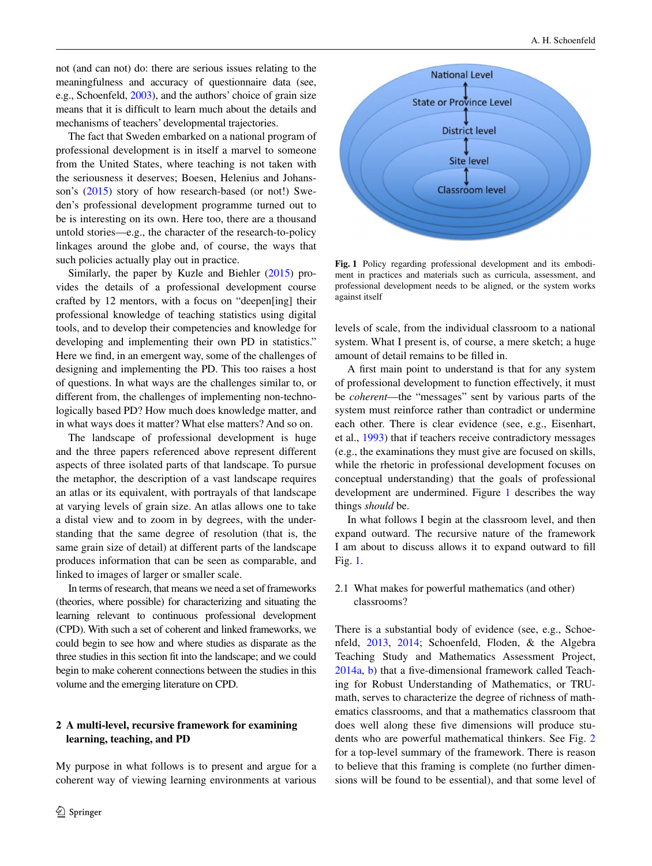not (and can not) do: there are serious issues relating to the meaningfulness and accuracy of questionnaire data (see, e.g., Schoenfeld, [2003\)](#page-7-3), and the authors' choice of grain size means that it is difficult to learn much about the details and mechanisms of teachers' developmental trajectories.

The fact that Sweden embarked on a national program of professional development is in itself a marvel to someone from the United States, where teaching is not taken with the seriousness it deserves; Boesen, Helenius and Johansson's [\(2015](#page-7-1)) story of how research-based (or not!) Sweden's professional development programme turned out to be is interesting on its own. Here too, there are a thousand untold stories—e.g., the character of the research-to-policy linkages around the globe and, of course, the ways that such policies actually play out in practice.

Similarly, the paper by Kuzle and Biehler [\(2015](#page-7-2)) provides the details of a professional development course crafted by 12 mentors, with a focus on "deepen[ing] their professional knowledge of teaching statistics using digital tools, and to develop their competencies and knowledge for developing and implementing their own PD in statistics." Here we find, in an emergent way, some of the challenges of designing and implementing the PD. This too raises a host of questions. In what ways are the challenges similar to, or different from, the challenges of implementing non-technologically based PD? How much does knowledge matter, and in what ways does it matter? What else matters? And so on.

The landscape of professional development is huge and the three papers referenced above represent different aspects of three isolated parts of that landscape. To pursue the metaphor, the description of a vast landscape requires an atlas or its equivalent, with portrayals of that landscape at varying levels of grain size. An atlas allows one to take a distal view and to zoom in by degrees, with the understanding that the same degree of resolution (that is, the same grain size of detail) at different parts of the landscape produces information that can be seen as comparable, and linked to images of larger or smaller scale.

In terms of research, that means we need a set of frameworks (theories, where possible) for characterizing and situating the learning relevant to continuous professional development (CPD). With such a set of coherent and linked frameworks, we could begin to see how and where studies as disparate as the three studies in this section fit into the landscape; and we could begin to make coherent connections between the studies in this volume and the emerging literature on CPD.

## **2 A multi‑level, recursive framework for examining learning, teaching, and PD**

My purpose in what follows is to present and argue for a coherent way of viewing learning environments at various



<span id="page-1-0"></span>**Fig. 1** Policy regarding professional development and its embodiment in practices and materials such as curricula, assessment, and professional development needs to be aligned, or the system works against itself

levels of scale, from the individual classroom to a national system. What I present is, of course, a mere sketch; a huge amount of detail remains to be filled in.

A first main point to understand is that for any system of professional development to function effectively, it must be *coherent*—the "messages" sent by various parts of the system must reinforce rather than contradict or undermine each other. There is clear evidence (see, e.g., Eisenhart, et al., [1993](#page-7-4)) that if teachers receive contradictory messages (e.g., the examinations they must give are focused on skills, while the rhetoric in professional development focuses on conceptual understanding) that the goals of professional development are undermined. Figure [1](#page-1-0) describes the way things *should* be.

In what follows I begin at the classroom level, and then expand outward. The recursive nature of the framework I am about to discuss allows it to expand outward to fill Fig. [1](#page-1-0).

## 2.1 What makes for powerful mathematics (and other) classrooms?

There is a substantial body of evidence (see, e.g., Schoenfeld, [2013,](#page-7-5) [2014](#page-8-0); Schoenfeld, Floden, & the Algebra Teaching Study and Mathematics Assessment Project, [2014a,](#page-8-1) [b](#page-8-2)) that a five-dimensional framework called Teaching for Robust Understanding of Mathematics, or TRUmath, serves to characterize the degree of richness of mathematics classrooms, and that a mathematics classroom that does well along these five dimensions will produce students who are powerful mathematical thinkers. See Fig. [2](#page-2-0) for a top-level summary of the framework. There is reason to believe that this framing is complete (no further dimensions will be found to be essential), and that some level of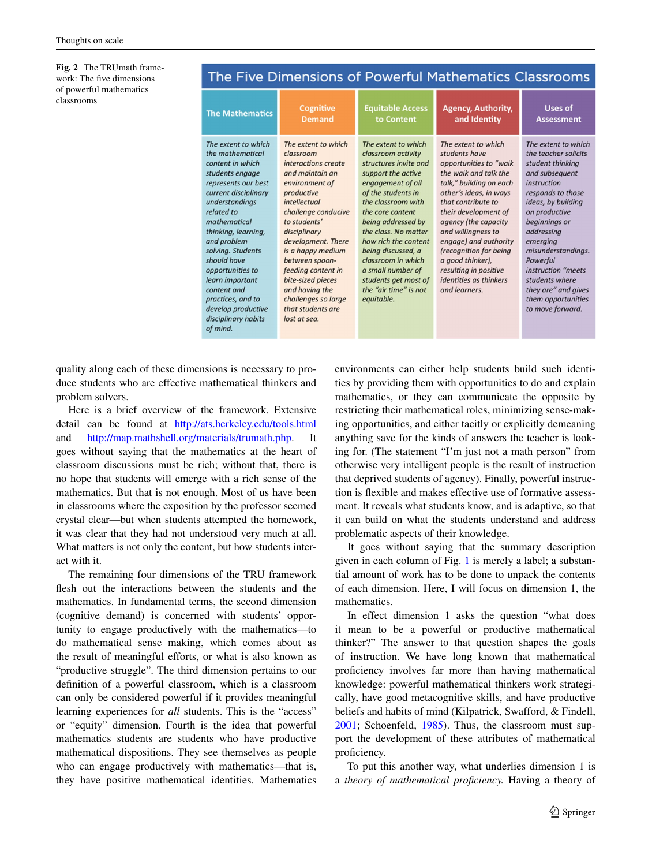<span id="page-2-0"></span>**Fig. 2** The TRUmath framework: The five dimensions of powerful mathematics classrooms

| The Five Dimensions of Powerful Mathematics Classrooms                                                                                                                                                                                                                                                                                                                                      |                                                                                                                                                                                                                                                                                                                                                                         |                                                                                                                                                                                                                                                                                                                                                                                     |                                                                                                                                                                                                                                                                                                                                                                                     |                                                                                                                                                                                                                                                                                                                                                    |  |  |  |  |
|---------------------------------------------------------------------------------------------------------------------------------------------------------------------------------------------------------------------------------------------------------------------------------------------------------------------------------------------------------------------------------------------|-------------------------------------------------------------------------------------------------------------------------------------------------------------------------------------------------------------------------------------------------------------------------------------------------------------------------------------------------------------------------|-------------------------------------------------------------------------------------------------------------------------------------------------------------------------------------------------------------------------------------------------------------------------------------------------------------------------------------------------------------------------------------|-------------------------------------------------------------------------------------------------------------------------------------------------------------------------------------------------------------------------------------------------------------------------------------------------------------------------------------------------------------------------------------|----------------------------------------------------------------------------------------------------------------------------------------------------------------------------------------------------------------------------------------------------------------------------------------------------------------------------------------------------|--|--|--|--|
| <b>The Mathematics</b>                                                                                                                                                                                                                                                                                                                                                                      | Cognitive<br><b>Demand</b>                                                                                                                                                                                                                                                                                                                                              | <b>Equitable Access</b><br>to Content                                                                                                                                                                                                                                                                                                                                               | <b>Agency, Authority,</b><br>and Identity                                                                                                                                                                                                                                                                                                                                           | Uses of<br><b>Assessment</b>                                                                                                                                                                                                                                                                                                                       |  |  |  |  |
| The extent to which<br>the mathematical<br>content in which<br>students engage<br>represents our best<br>current disciplinary<br>understandings<br>related to<br>mathematical<br>thinking, learning,<br>and problem<br>solving. Students<br>should have<br>opportunities to<br>learn important<br>content and<br>practices, and to<br>develop productive<br>disciplinary habits<br>of mind. | The extent to which<br>classroom<br>interactions create<br>and maintain an<br>environment of<br>productive<br>intellectual<br>challenge conducive<br>to students'<br>disciplinary<br>development. There<br>is a happy medium<br>between spoon-<br>feeding content in<br>bite-sized pieces<br>and having the<br>challenges so large<br>that students are<br>lost at sea. | The extent to which<br>classroom activity<br>structures invite and<br>support the active<br>engagement of all<br>of the students in<br>the classroom with<br>the core content<br>being addressed by<br>the class. No matter<br>how rich the content<br>being discussed, a<br>classroom in which<br>a small number of<br>students get most of<br>the "air time" is not<br>equitable. | The extent to which<br>students have<br>opportunities to "walk<br>the walk and talk the<br>talk," building on each<br>other's ideas, in ways<br>that contribute to<br>their development of<br>agency (the capacity<br>and willingness to<br>engage) and authority<br>(recognition for being<br>a good thinker),<br>resulting in positive<br>identities as thinkers<br>and learners. | The extent to which<br>the teacher solicits<br>student thinking<br>and subsequent<br>instruction<br>responds to those<br>ideas, by building<br>on productive<br>beginnings or<br>addressing<br>emerging<br>misunderstandings.<br>Powerful<br>instruction "meets<br>students where<br>they are" and gives<br>them opportunities<br>to move forward. |  |  |  |  |

quality along each of these dimensions is necessary to produce students who are effective mathematical thinkers and problem solvers.

Here is a brief overview of the framework. Extensive detail can be found at <http://ats.berkeley.edu/tools.html> and <http://map.mathshell.org/materials/trumath.php>. It goes without saying that the mathematics at the heart of classroom discussions must be rich; without that, there is no hope that students will emerge with a rich sense of the mathematics. But that is not enough. Most of us have been in classrooms where the exposition by the professor seemed crystal clear—but when students attempted the homework, it was clear that they had not understood very much at all. What matters is not only the content, but how students interact with it.

The remaining four dimensions of the TRU framework flesh out the interactions between the students and the mathematics. In fundamental terms, the second dimension (cognitive demand) is concerned with students' opportunity to engage productively with the mathematics—to do mathematical sense making, which comes about as the result of meaningful efforts, or what is also known as "productive struggle". The third dimension pertains to our definition of a powerful classroom, which is a classroom can only be considered powerful if it provides meaningful learning experiences for *all* students. This is the "access" or "equity" dimension. Fourth is the idea that powerful mathematics students are students who have productive mathematical dispositions. They see themselves as people who can engage productively with mathematics—that is, they have positive mathematical identities. Mathematics environments can either help students build such identities by providing them with opportunities to do and explain mathematics, or they can communicate the opposite by restricting their mathematical roles, minimizing sense-making opportunities, and either tacitly or explicitly demeaning anything save for the kinds of answers the teacher is looking for. (The statement "I'm just not a math person" from otherwise very intelligent people is the result of instruction that deprived students of agency). Finally, powerful instruction is flexible and makes effective use of formative assessment. It reveals what students know, and is adaptive, so that it can build on what the students understand and address problematic aspects of their knowledge.

It goes without saying that the summary description given in each column of Fig. [1](#page-1-0) is merely a label; a substantial amount of work has to be done to unpack the contents of each dimension. Here, I will focus on dimension 1, the mathematics.

In effect dimension 1 asks the question "what does it mean to be a powerful or productive mathematical thinker?" The answer to that question shapes the goals of instruction. We have long known that mathematical proficiency involves far more than having mathematical knowledge: powerful mathematical thinkers work strategically, have good metacognitive skills, and have productive beliefs and habits of mind (Kilpatrick, Swafford, & Findell, [2001](#page-7-6); Schoenfeld, [1985](#page-7-7)). Thus, the classroom must support the development of these attributes of mathematical proficiency.

To put this another way, what underlies dimension 1 is a *theory of mathematical proficiency.* Having a theory of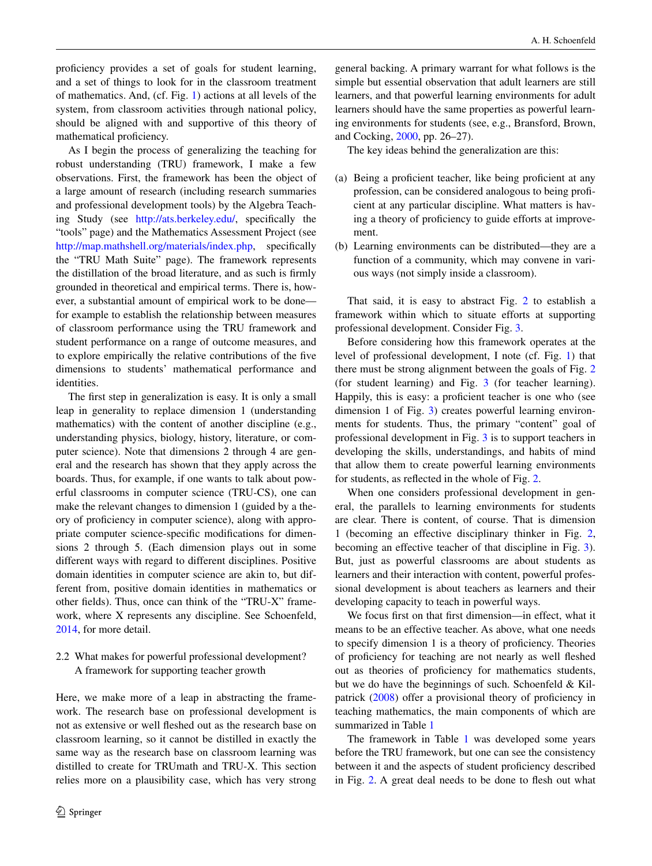proficiency provides a set of goals for student learning, and a set of things to look for in the classroom treatment of mathematics. And, (cf. Fig. [1](#page-1-0)) actions at all levels of the system, from classroom activities through national policy, should be aligned with and supportive of this theory of mathematical proficiency.

As I begin the process of generalizing the teaching for robust understanding (TRU) framework, I make a few observations. First, the framework has been the object of a large amount of research (including research summaries and professional development tools) by the Algebra Teaching Study (see [http://ats.berkeley.edu/,](http://ats.berkeley.edu/) specifically the "tools" page) and the Mathematics Assessment Project (see [http://map.mathshell.org/materials/index.php,](http://map.mathshell.org/materials/index.php) specifically the "TRU Math Suite" page). The framework represents the distillation of the broad literature, and as such is firmly grounded in theoretical and empirical terms. There is, however, a substantial amount of empirical work to be done for example to establish the relationship between measures of classroom performance using the TRU framework and student performance on a range of outcome measures, and to explore empirically the relative contributions of the five dimensions to students' mathematical performance and identities.

The first step in generalization is easy. It is only a small leap in generality to replace dimension 1 (understanding mathematics) with the content of another discipline (e.g., understanding physics, biology, history, literature, or computer science). Note that dimensions 2 through 4 are general and the research has shown that they apply across the boards. Thus, for example, if one wants to talk about powerful classrooms in computer science (TRU-CS), one can make the relevant changes to dimension 1 (guided by a theory of proficiency in computer science), along with appropriate computer science-specific modifications for dimensions 2 through 5. (Each dimension plays out in some different ways with regard to different disciplines. Positive domain identities in computer science are akin to, but different from, positive domain identities in mathematics or other fields). Thus, once can think of the "TRU-X" framework, where X represents any discipline. See Schoenfeld, [2014](#page-8-0), for more detail.

2.2 What makes for powerful professional development? A framework for supporting teacher growth

Here, we make more of a leap in abstracting the framework. The research base on professional development is not as extensive or well fleshed out as the research base on classroom learning, so it cannot be distilled in exactly the same way as the research base on classroom learning was distilled to create for TRUmath and TRU-X. This section relies more on a plausibility case, which has very strong

general backing. A primary warrant for what follows is the simple but essential observation that adult learners are still learners, and that powerful learning environments for adult learners should have the same properties as powerful learning environments for students (see, e.g., Bransford, Brown, and Cocking, [2000,](#page-7-8) pp. 26–27).

The key ideas behind the generalization are this:

- (a) Being a proficient teacher, like being proficient at any profession, can be considered analogous to being proficient at any particular discipline. What matters is having a theory of proficiency to guide efforts at improvement.
- (b) Learning environments can be distributed—they are a function of a community, which may convene in various ways (not simply inside a classroom).

That said, it is easy to abstract Fig. [2](#page-2-0) to establish a framework within which to situate efforts at supporting professional development. Consider Fig. [3.](#page-4-0)

Before considering how this framework operates at the level of professional development, I note (cf. Fig. [1](#page-1-0)) that there must be strong alignment between the goals of Fig. [2](#page-2-0) (for student learning) and Fig. [3](#page-4-0) (for teacher learning). Happily, this is easy: a proficient teacher is one who (see dimension 1 of Fig. [3\)](#page-4-0) creates powerful learning environments for students. Thus, the primary "content" goal of professional development in Fig. [3](#page-4-0) is to support teachers in developing the skills, understandings, and habits of mind that allow them to create powerful learning environments for students, as reflected in the whole of Fig. [2.](#page-2-0)

When one considers professional development in general, the parallels to learning environments for students are clear. There is content, of course. That is dimension 1 (becoming an effective disciplinary thinker in Fig. [2,](#page-2-0) becoming an effective teacher of that discipline in Fig. [3](#page-4-0)). But, just as powerful classrooms are about students as learners and their interaction with content, powerful professional development is about teachers as learners and their developing capacity to teach in powerful ways.

We focus first on that first dimension—in effect, what it means to be an effective teacher. As above, what one needs to specify dimension 1 is a theory of proficiency. Theories of proficiency for teaching are not nearly as well fleshed out as theories of proficiency for mathematics students, but we do have the beginnings of such. Schoenfeld  $&$  Kilpatrick ([2008\)](#page-8-3) offer a provisional theory of proficiency in teaching mathematics, the main components of which are summarized in Table [1](#page-4-1)

The framework in Table [1](#page-4-1) was developed some years before the TRU framework, but one can see the consistency between it and the aspects of student proficiency described in Fig. [2.](#page-2-0) A great deal needs to be done to flesh out what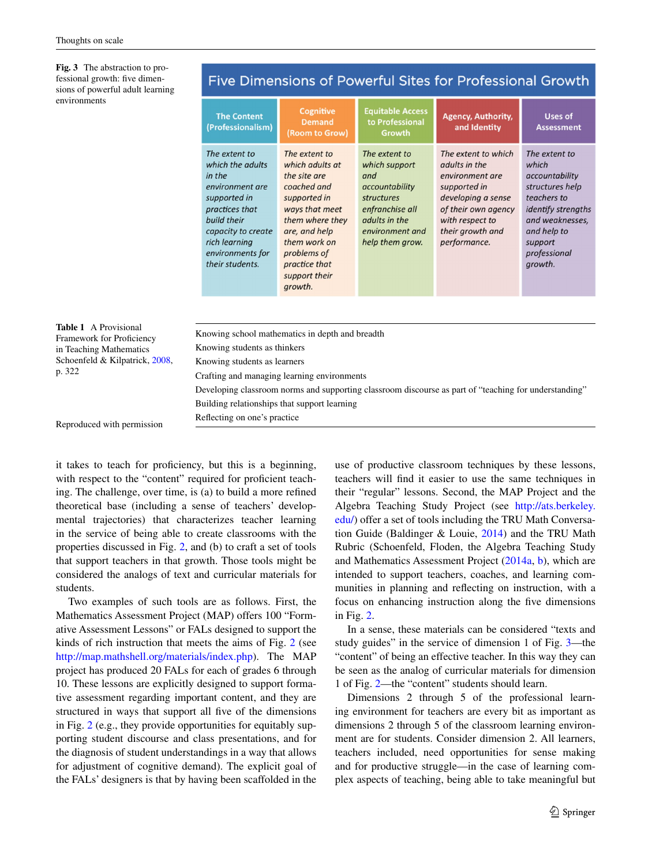<span id="page-4-0"></span>**Fig. 3** The abstraction to professional growth: five dimensions of powerful adult lear environments

| sions of powerful adult realining                         |                                                                                                                                                                                               |                                                                                                                                                                                                                   |                                                                                                                                                 |                                                                                                                                                                             |                                                                                                                                                                          |  |  |
|-----------------------------------------------------------|-----------------------------------------------------------------------------------------------------------------------------------------------------------------------------------------------|-------------------------------------------------------------------------------------------------------------------------------------------------------------------------------------------------------------------|-------------------------------------------------------------------------------------------------------------------------------------------------|-----------------------------------------------------------------------------------------------------------------------------------------------------------------------------|--------------------------------------------------------------------------------------------------------------------------------------------------------------------------|--|--|
| environments                                              | <b>The Content</b><br>(Professionalism)                                                                                                                                                       | <b>Cognitive</b><br><b>Demand</b><br>(Room to Grow)                                                                                                                                                               | <b>Equitable Access</b><br>to Professional<br>Growth                                                                                            | <b>Agency, Authority,</b><br>and Identity                                                                                                                                   | Uses of<br><b>Assessment</b>                                                                                                                                             |  |  |
|                                                           | The extent to<br>which the adults<br>in the<br>environment are<br>supported in<br>practices that<br>build their<br>capacity to create<br>rich learning<br>environments for<br>their students. | The extent to<br>which adults at<br>the site are<br>coached and<br>supported in<br>ways that meet<br>them where they<br>are, and help<br>them work on<br>problems of<br>practice that<br>support their<br>growth. | The extent to<br>which support<br>and<br>accountability<br>structures<br>enfranchise all<br>adults in the<br>environment and<br>help them grow. | The extent to which<br>adults in the<br>environment are<br>supported in<br>developing a sense<br>of their own agency<br>with respect to<br>their growth and<br>performance. | The extent to<br>which<br>accountability<br>structures help<br>teachers to<br>identify strengths<br>and weaknesses,<br>and help to<br>support<br>professional<br>growth. |  |  |
|                                                           |                                                                                                                                                                                               |                                                                                                                                                                                                                   |                                                                                                                                                 |                                                                                                                                                                             |                                                                                                                                                                          |  |  |
| <b>Table 1</b> A Provisional<br>Framework for Proficiency | Knowing school mathematics in depth and breadth                                                                                                                                               |                                                                                                                                                                                                                   |                                                                                                                                                 |                                                                                                                                                                             |                                                                                                                                                                          |  |  |
| in Teaching Mathematics                                   | Knowing students as thinkers                                                                                                                                                                  |                                                                                                                                                                                                                   |                                                                                                                                                 |                                                                                                                                                                             |                                                                                                                                                                          |  |  |
| Schoenfeld & Kilpatrick, 2008,<br>p. 322                  | Knowing students as learners                                                                                                                                                                  |                                                                                                                                                                                                                   |                                                                                                                                                 |                                                                                                                                                                             |                                                                                                                                                                          |  |  |
|                                                           | Crafting and managing learning environments                                                                                                                                                   |                                                                                                                                                                                                                   |                                                                                                                                                 |                                                                                                                                                                             |                                                                                                                                                                          |  |  |
|                                                           | Developing classroom norms and supporting classroom discourse as part of "teaching for understanding"                                                                                         |                                                                                                                                                                                                                   |                                                                                                                                                 |                                                                                                                                                                             |                                                                                                                                                                          |  |  |
|                                                           | Building relationships that support learning                                                                                                                                                  |                                                                                                                                                                                                                   |                                                                                                                                                 |                                                                                                                                                                             |                                                                                                                                                                          |  |  |

### <span id="page-4-1"></span>Reproduced with permission

it takes to teach for proficiency, but this is a beginning, with respect to the "content" required for proficient teaching. The challenge, over time, is (a) to build a more refined theoretical base (including a sense of teachers' developmental trajectories) that characterizes teacher learning in the service of being able to create classrooms with the properties discussed in Fig. [2](#page-2-0), and (b) to craft a set of tools that support teachers in that growth. Those tools might be considered the analogs of text and curricular materials for students.

Reflecting on one's practice

Two examples of such tools are as follows. First, the Mathematics Assessment Project (MAP) offers 100 "Formative Assessment Lessons" or FALs designed to support the kinds of rich instruction that meets the aims of Fig. [2](#page-2-0) (see [http://map.mathshell.org/materials/index.php\)](http://map.mathshell.org/materials/index.php). The MAP project has produced 20 FALs for each of grades 6 through 10. These lessons are explicitly designed to support formative assessment regarding important content, and they are structured in ways that support all five of the dimensions in Fig. [2](#page-2-0) (e.g., they provide opportunities for equitably supporting student discourse and class presentations, and for the diagnosis of student understandings in a way that allows for adjustment of cognitive demand). The explicit goal of the FALs' designers is that by having been scaffolded in the use of productive classroom techniques by these lessons, teachers will find it easier to use the same techniques in their "regular" lessons. Second, the MAP Project and the Algebra Teaching Study Project (see [http://ats.berkeley.](http://ats.berkeley.edu/) [edu/](http://ats.berkeley.edu/)) offer a set of tools including the TRU Math Conversation Guide (Baldinger & Louie, [2014\)](#page-7-9) and the TRU Math Rubric (Schoenfeld, Floden, the Algebra Teaching Study and Mathematics Assessment Project ([2014a](#page-8-1), [b](#page-8-2)), which are intended to support teachers, coaches, and learning communities in planning and reflecting on instruction, with a focus on enhancing instruction along the five dimensions in Fig. [2.](#page-2-0)

In a sense, these materials can be considered "texts and study guides" in the service of dimension 1 of Fig. [3](#page-4-0)—the "content" of being an effective teacher. In this way they can be seen as the analog of curricular materials for dimension 1 of Fig. [2—](#page-2-0)the "content" students should learn.

Dimensions 2 through 5 of the professional learning environment for teachers are every bit as important as dimensions 2 through 5 of the classroom learning environment are for students. Consider dimension 2. All learners, teachers included, need opportunities for sense making and for productive struggle—in the case of learning complex aspects of teaching, being able to take meaningful but

# Five Dimensions of Powerful Sites for Professional Growth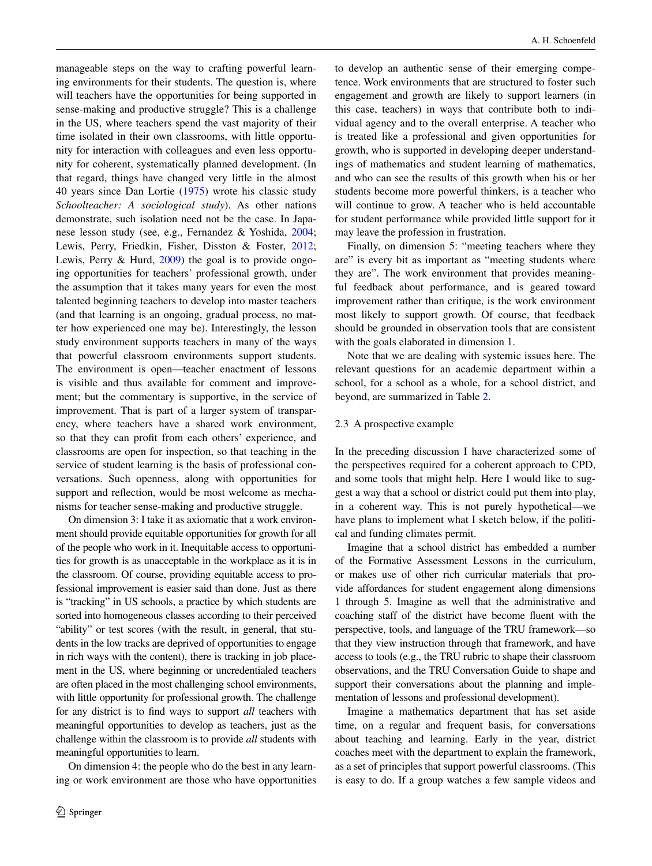manageable steps on the way to crafting powerful learning environments for their students. The question is, where will teachers have the opportunities for being supported in sense-making and productive struggle? This is a challenge in the US, where teachers spend the vast majority of their time isolated in their own classrooms, with little opportunity for interaction with colleagues and even less opportunity for coherent, systematically planned development. (In that regard, things have changed very little in the almost 40 years since Dan Lortie [\(1975](#page-7-10)) wrote his classic study *Schoolteacher: A sociological study*). As other nations demonstrate, such isolation need not be the case. In Japanese lesson study (see, e.g., Fernandez & Yoshida, [2004](#page-7-11); Lewis, Perry, Friedkin, Fisher, Disston & Foster, [2012](#page-7-12); Lewis, Perry & Hurd, [2009](#page-7-13)) the goal is to provide ongoing opportunities for teachers' professional growth, under the assumption that it takes many years for even the most talented beginning teachers to develop into master teachers (and that learning is an ongoing, gradual process, no matter how experienced one may be). Interestingly, the lesson study environment supports teachers in many of the ways that powerful classroom environments support students. The environment is open—teacher enactment of lessons is visible and thus available for comment and improvement; but the commentary is supportive, in the service of improvement. That is part of a larger system of transparency, where teachers have a shared work environment, so that they can profit from each others' experience, and classrooms are open for inspection, so that teaching in the service of student learning is the basis of professional conversations. Such openness, along with opportunities for support and reflection, would be most welcome as mechanisms for teacher sense-making and productive struggle.

On dimension 3: I take it as axiomatic that a work environment should provide equitable opportunities for growth for all of the people who work in it. Inequitable access to opportunities for growth is as unacceptable in the workplace as it is in the classroom. Of course, providing equitable access to professional improvement is easier said than done. Just as there is "tracking" in US schools, a practice by which students are sorted into homogeneous classes according to their perceived "ability" or test scores (with the result, in general, that students in the low tracks are deprived of opportunities to engage in rich ways with the content), there is tracking in job placement in the US, where beginning or uncredentialed teachers are often placed in the most challenging school environments, with little opportunity for professional growth. The challenge for any district is to find ways to support *all* teachers with meaningful opportunities to develop as teachers, just as the challenge within the classroom is to provide *all* students with meaningful opportunities to learn.

On dimension 4: the people who do the best in any learning or work environment are those who have opportunities to develop an authentic sense of their emerging competence. Work environments that are structured to foster such engagement and growth are likely to support learners (in this case, teachers) in ways that contribute both to individual agency and to the overall enterprise. A teacher who is treated like a professional and given opportunities for growth, who is supported in developing deeper understandings of mathematics and student learning of mathematics, and who can see the results of this growth when his or her students become more powerful thinkers, is a teacher who will continue to grow. A teacher who is held accountable for student performance while provided little support for it may leave the profession in frustration.

Finally, on dimension 5: "meeting teachers where they are" is every bit as important as "meeting students where they are". The work environment that provides meaningful feedback about performance, and is geared toward improvement rather than critique, is the work environment most likely to support growth. Of course, that feedback should be grounded in observation tools that are consistent with the goals elaborated in dimension 1.

Note that we are dealing with systemic issues here. The relevant questions for an academic department within a school, for a school as a whole, for a school district, and beyond, are summarized in Table [2](#page-6-0).

### 2.3 A prospective example

In the preceding discussion I have characterized some of the perspectives required for a coherent approach to CPD, and some tools that might help. Here I would like to suggest a way that a school or district could put them into play, in a coherent way. This is not purely hypothetical—we have plans to implement what I sketch below, if the political and funding climates permit.

Imagine that a school district has embedded a number of the Formative Assessment Lessons in the curriculum, or makes use of other rich curricular materials that provide affordances for student engagement along dimensions 1 through 5. Imagine as well that the administrative and coaching staff of the district have become fluent with the perspective, tools, and language of the TRU framework—so that they view instruction through that framework, and have access to tools (e.g., the TRU rubric to shape their classroom observations, and the TRU Conversation Guide to shape and support their conversations about the planning and implementation of lessons and professional development).

Imagine a mathematics department that has set aside time, on a regular and frequent basis, for conversations about teaching and learning. Early in the year, district coaches meet with the department to explain the framework, as a set of principles that support powerful classrooms. (This is easy to do. If a group watches a few sample videos and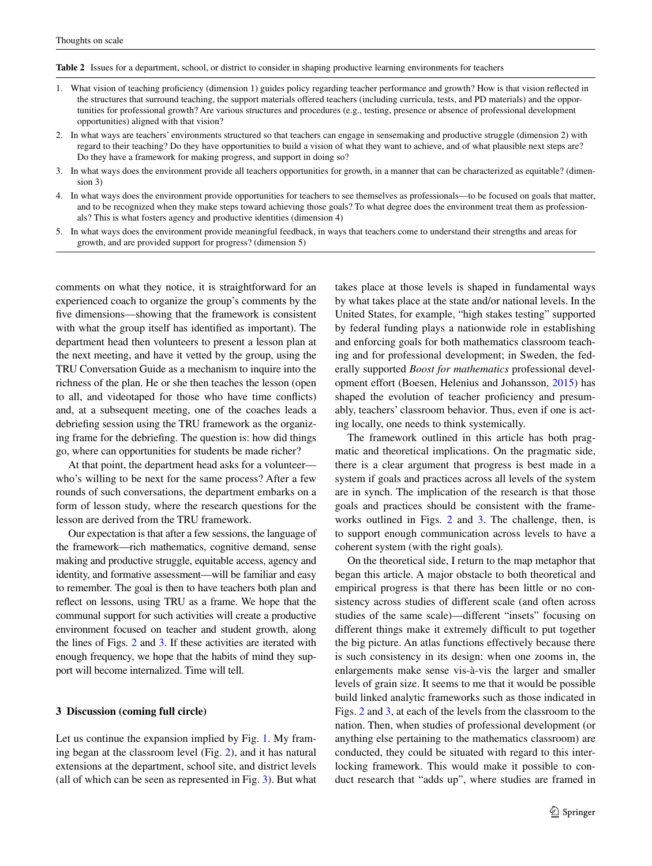<span id="page-6-0"></span>**Table 2** Issues for a department, school, or district to consider in shaping productive learning environments for teachers

- 1. What vision of teaching proficiency (dimension 1) guides policy regarding teacher performance and growth? How is that vision reflected in the structures that surround teaching, the support materials offered teachers (including curricula, tests, and PD materials) and the opportunities for professional growth? Are various structures and procedures (e.g., testing, presence or absence of professional development opportunities) aligned with that vision?
- 2. In what ways are teachers' environments structured so that teachers can engage in sensemaking and productive struggle (dimension 2) with regard to their teaching? Do they have opportunities to build a vision of what they want to achieve, and of what plausible next steps are? Do they have a framework for making progress, and support in doing so?
- 3. In what ways does the environment provide all teachers opportunities for growth, in a manner that can be characterized as equitable? (dimension 3)
- 4. In what ways does the environment provide opportunities for teachers to see themselves as professionals—to be focused on goals that matter, and to be recognized when they make steps toward achieving those goals? To what degree does the environment treat them as professionals? This is what fosters agency and productive identities (dimension 4)
- 5. In what ways does the environment provide meaningful feedback, in ways that teachers come to understand their strengths and areas for growth, and are provided support for progress? (dimension 5)

comments on what they notice, it is straightforward for an experienced coach to organize the group's comments by the five dimensions—showing that the framework is consistent with what the group itself has identified as important). The department head then volunteers to present a lesson plan at the next meeting, and have it vetted by the group, using the TRU Conversation Guide as a mechanism to inquire into the richness of the plan. He or she then teaches the lesson (open to all, and videotaped for those who have time conflicts) and, at a subsequent meeting, one of the coaches leads a debriefing session using the TRU framework as the organizing frame for the debriefing. The question is: how did things go, where can opportunities for students be made richer?

At that point, the department head asks for a volunteer who's willing to be next for the same process? After a few rounds of such conversations, the department embarks on a form of lesson study, where the research questions for the lesson are derived from the TRU framework.

Our expectation is that after a few sessions, the language of the framework—rich mathematics, cognitive demand, sense making and productive struggle, equitable access, agency and identity, and formative assessment—will be familiar and easy to remember. The goal is then to have teachers both plan and reflect on lessons, using TRU as a frame. We hope that the communal support for such activities will create a productive environment focused on teacher and student growth, along the lines of Figs. [2](#page-2-0) and [3](#page-4-0). If these activities are iterated with enough frequency, we hope that the habits of mind they support will become internalized. Time will tell.

### **3 Discussion (coming full circle)**

Let us continue the expansion implied by Fig. [1.](#page-1-0) My framing began at the classroom level (Fig. [2\)](#page-2-0), and it has natural extensions at the department, school site, and district levels (all of which can be seen as represented in Fig. [3\)](#page-4-0). But what takes place at those levels is shaped in fundamental ways by what takes place at the state and/or national levels. In the United States, for example, "high stakes testing" supported by federal funding plays a nationwide role in establishing and enforcing goals for both mathematics classroom teaching and for professional development; in Sweden, the federally supported *Boost for mathematics* professional development effort (Boesen, Helenius and Johansson, [2015\)](#page-7-1) has shaped the evolution of teacher proficiency and presumably, teachers' classroom behavior. Thus, even if one is acting locally, one needs to think systemically.

The framework outlined in this article has both pragmatic and theoretical implications. On the pragmatic side, there is a clear argument that progress is best made in a system if goals and practices across all levels of the system are in synch. The implication of the research is that those goals and practices should be consistent with the frameworks outlined in Figs. [2](#page-2-0) and [3.](#page-4-0) The challenge, then, is to support enough communication across levels to have a coherent system (with the right goals).

On the theoretical side, I return to the map metaphor that began this article. A major obstacle to both theoretical and empirical progress is that there has been little or no consistency across studies of different scale (and often across studies of the same scale)—different "insets" focusing on different things make it extremely difficult to put together the big picture. An atlas functions effectively because there is such consistency in its design: when one zooms in, the enlargements make sense vis-à-vis the larger and smaller levels of grain size. It seems to me that it would be possible build linked analytic frameworks such as those indicated in Figs. [2](#page-2-0) and [3](#page-4-0), at each of the levels from the classroom to the nation. Then, when studies of professional development (or anything else pertaining to the mathematics classroom) are conducted, they could be situated with regard to this interlocking framework. This would make it possible to conduct research that "adds up", where studies are framed in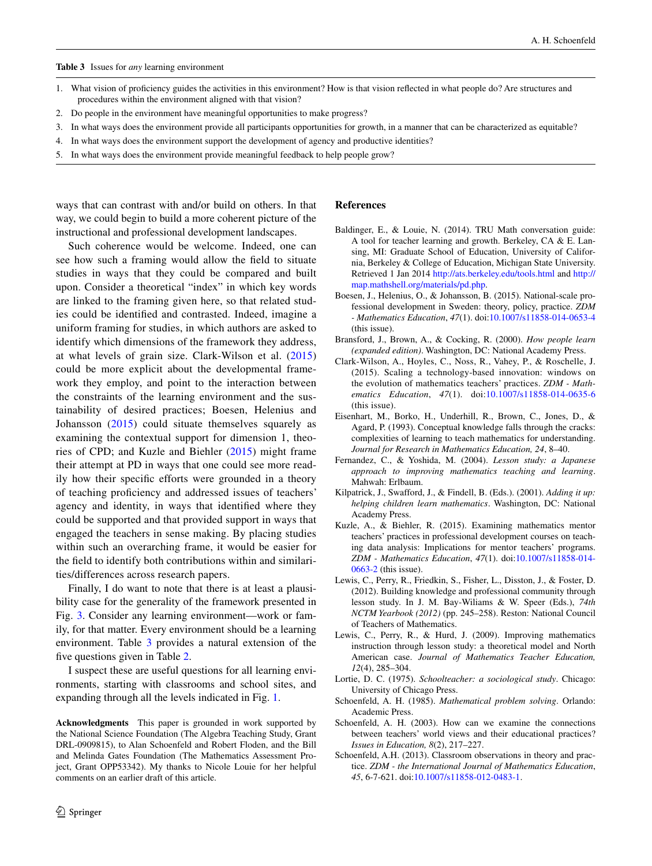#### <span id="page-7-14"></span>**Table 3** Issues for *any* learning environment

- 1. What vision of proficiency guides the activities in this environment? How is that vision reflected in what people do? Are structures and procedures within the environment aligned with that vision?
- 2. Do people in the environment have meaningful opportunities to make progress?
- 3. In what ways does the environment provide all participants opportunities for growth, in a manner that can be characterized as equitable?
- 4. In what ways does the environment support the development of agency and productive identities?
- 5. In what ways does the environment provide meaningful feedback to help people grow?

ways that can contrast with and/or build on others. In that way, we could begin to build a more coherent picture of the instructional and professional development landscapes.

Such coherence would be welcome. Indeed, one can see how such a framing would allow the field to situate studies in ways that they could be compared and built upon. Consider a theoretical "index" in which key words are linked to the framing given here, so that related studies could be identified and contrasted. Indeed, imagine a uniform framing for studies, in which authors are asked to identify which dimensions of the framework they address, at what levels of grain size. Clark-Wilson et al. [\(2015\)](#page-7-0) could be more explicit about the developmental framework they employ, and point to the interaction between the constraints of the learning environment and the sustainability of desired practices; Boesen, Helenius and Johansson ([2015](#page-7-1)) could situate themselves squarely as examining the contextual support for dimension 1, theories of CPD; and Kuzle and Biehler [\(2015\)](#page-7-2) might frame their attempt at PD in ways that one could see more readily how their specific efforts were grounded in a theory of teaching proficiency and addressed issues of teachers' agency and identity, in ways that identified where they could be supported and that provided support in ways that engaged the teachers in sense making. By placing studies within such an overarching frame, it would be easier for the field to identify both contributions within and similarities/differences across research papers.

Finally, I do want to note that there is at least a plausibility case for the generality of the framework presented in Fig. [3](#page-4-0). Consider any learning environment—work or family, for that matter. Every environment should be a learning environment. Table [3](#page-7-14) provides a natural extension of the five questions given in Table [2.](#page-6-0)

I suspect these are useful questions for all learning environments, starting with classrooms and school sites, and expanding through all the levels indicated in Fig. [1](#page-1-0).

**Acknowledgments** This paper is grounded in work supported by the National Science Foundation (The Algebra Teaching Study, Grant DRL-0909815), to Alan Schoenfeld and Robert Floden, and the Bill and Melinda Gates Foundation (The Mathematics Assessment Project, Grant OPP53342). My thanks to Nicole Louie for her helpful comments on an earlier draft of this article.

#### **References**

- <span id="page-7-9"></span>Baldinger, E., & Louie, N. (2014). TRU Math conversation guide: A tool for teacher learning and growth. Berkeley, CA & E. Lansing, MI: Graduate School of Education, University of California, Berkeley & College of Education, Michigan State University. Retrieved 1 Jan 2014 <http://ats.berkeley.edu/tools.html> and [http://](http://map.mathshell.org/materials/pd.php) [map.mathshell.org/materials/pd.php.](http://map.mathshell.org/materials/pd.php)
- <span id="page-7-1"></span>Boesen, J., Helenius, O., & Johansson, B. (2015). National-scale professional development in Sweden: theory, policy, practice. *ZDM - Mathematics Education*, *47*(1). doi[:10.1007/s11858-014-0653-4](http://dx.doi.org/10.1007/s11858-014-0653-4) (this issue).
- <span id="page-7-8"></span>Bransford, J., Brown, A., & Cocking, R. (2000). *How people learn (expanded edition)*. Washington, DC: National Academy Press.
- <span id="page-7-0"></span>Clark-Wilson, A., Hoyles, C., Noss, R., Vahey, P., & Roschelle, J. (2015). Scaling a technology-based innovation: windows on the evolution of mathematics teachers' practices. *ZDM - Mathematics Education*, *47*(1). doi[:10.1007/s11858-014-0635-6](http://dx.doi.org/10.1007/s11858-014-0635-6) (this issue).
- <span id="page-7-4"></span>Eisenhart, M., Borko, H., Underhill, R., Brown, C., Jones, D., & Agard, P. (1993). Conceptual knowledge falls through the cracks: complexities of learning to teach mathematics for understanding. *Journal for Research in Mathematics Education, 24*, 8–40.
- <span id="page-7-11"></span>Fernandez, C., & Yoshida, M. (2004). *Lesson study: a Japanese approach to improving mathematics teaching and learning*. Mahwah: Erlbaum.
- <span id="page-7-6"></span>Kilpatrick, J., Swafford, J., & Findell, B. (Eds.). (2001). *Adding it up: helping children learn mathematics*. Washington, DC: National Academy Press.
- <span id="page-7-2"></span>Kuzle, A., & Biehler, R. (2015). Examining mathematics mentor teachers' practices in professional development courses on teaching data analysis: Implications for mentor teachers' programs. *ZDM - Mathematics Education*, *47*(1). doi[:10.1007/s11858-014-](http://dx.doi.org/10.1007/s11858-014-0663-2) [0663-2](http://dx.doi.org/10.1007/s11858-014-0663-2) (this issue).
- <span id="page-7-12"></span>Lewis, C., Perry, R., Friedkin, S., Fisher, L., Disston, J., & Foster, D. (2012). Building knowledge and professional community through lesson study. In J. M. Bay-Wiliams & W. Speer (Eds.), *74th NCTM Yearbook (2012)* (pp. 245–258). Reston: National Council of Teachers of Mathematics.
- <span id="page-7-13"></span>Lewis, C., Perry, R., & Hurd, J. (2009). Improving mathematics instruction through lesson study: a theoretical model and North American case. *Journal of Mathematics Teacher Education, 12*(4), 285–304.
- <span id="page-7-10"></span>Lortie, D. C. (1975). *Schoolteacher: a sociological study*. Chicago: University of Chicago Press.
- <span id="page-7-7"></span>Schoenfeld, A. H. (1985). *Mathematical problem solving*. Orlando: Academic Press.
- <span id="page-7-3"></span>Schoenfeld, A. H. (2003). How can we examine the connections between teachers' world views and their educational practices? *Issues in Education, 8*(2), 217–227.
- <span id="page-7-5"></span>Schoenfeld, A.H. (2013). Classroom observations in theory and practice. *ZDM - the International Journal of Mathematics Education*, *45*, 6-7-621. doi[:10.1007/s11858-012-0483-1](http://dx.doi.org/10.1007/s11858-012-0483-1).